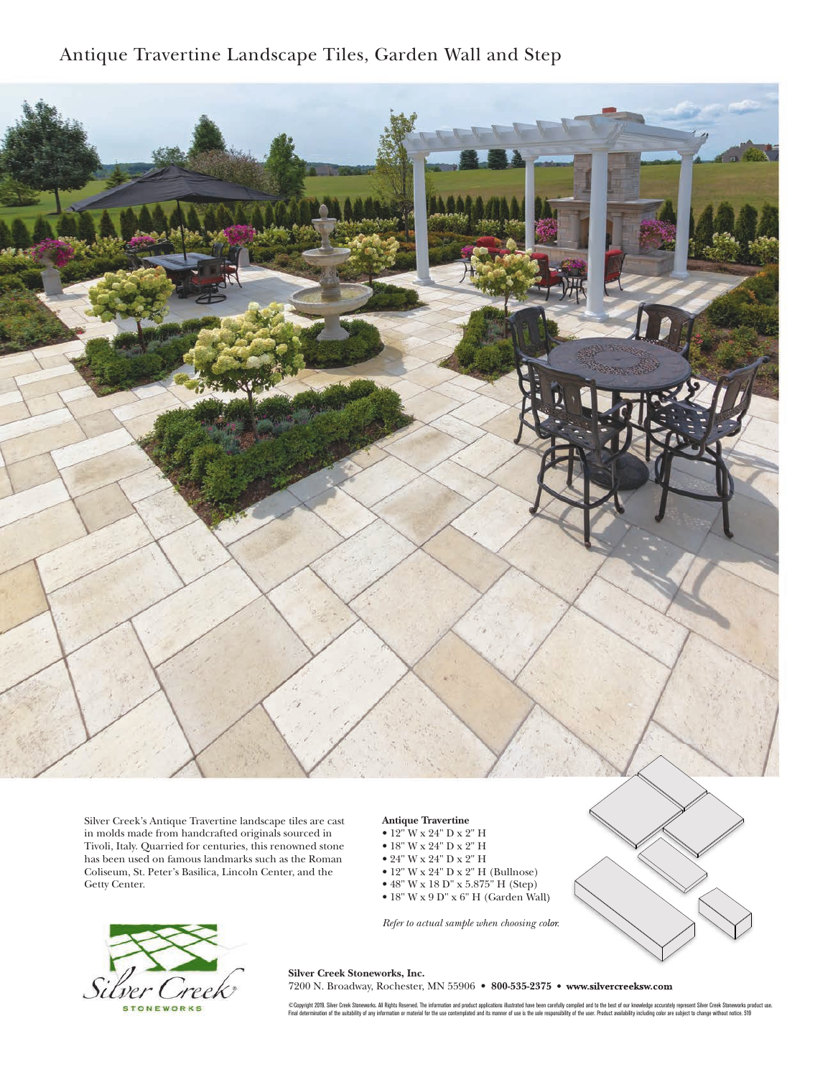## Antique Travertine Landscape Tiles, Garden Wall and Step



Silver Creek's Antique Travertine landscape tiles are cast in molds made from handcrafted originals sourced in Tivoli, Italy. Quarried for centuries, this renowned stone has been used on famous landmarks such as the Roman Coliseum, St. Peter's Basilica, Lincoln Center, and the Getty Center.

## **Antique Travertine**

- 12" W x 24" D x 2" H • 18" W x 24" D x 2" H • 24" W x 24" D x 2" H
- 12" W x 24" D x 2" H (Bullnose)
- 48" W x 18 D" x 5.875" H (Step) • 18" W x 9 D" x 6" H (Garden Wall)

*Refer to actual sample when choosing color.*





## **Silver Creek Stoneworks, Inc.**

7200 N. Broadway, Rochester, MN 55906 • **800-535-2375 • www.silvercreeksw.com** 

©Copyright 2019. Silver Creek Stoneworks. All Rights Reserved. The information and product applications illustrated have been carefully compiled and to the best of our knowledge accurately represent Silver Creek Stoneworks